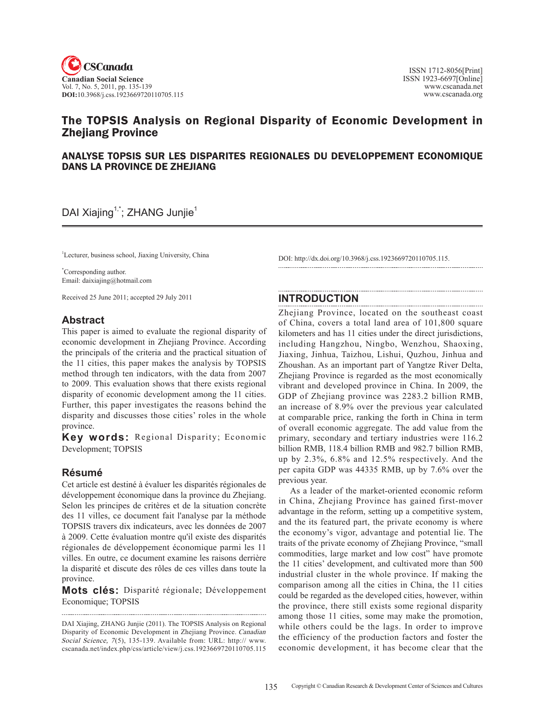

# The TOPSIS Analysis on Regional Disparity of Economic Development in Zhejiang Province

### ANALYSE TOPSIS SUR LES DISPARITES REGIONALES DU DEVELOPPEMENT ECONOMIQUE DANS LA PROVINCE DE ZHEJIANG

# DAI Xiajing<sup>1,\*</sup>; ZHANG Junjie<sup>1</sup>

<sup>1</sup>Lecturer, business school, Jiaxing University, China

\* Corresponding author. Email: daixiajing@hotmail.com

Received 25 June 2011; accepted 29 July 2011

### **Abstract**

This paper is aimed to evaluate the regional disparity of economic development in Zhejiang Province. According the principals of the criteria and the practical situation of the 11 cities, this paper makes the analysis by TOPSIS method through ten indicators, with the data from 2007 to 2009. This evaluation shows that there exists regional disparity of economic development among the 11 cities. Further, this paper investigates the reasons behind the disparity and discusses those cities' roles in the whole province.

**Key words:** Regional Disparity; Economic Development; TOPSIS

# **Résumé**

Cet article est destiné à évaluer les disparités régionales de développement économique dans la province du Zhejiang. Selon les principes de critères et de la situation concrète des 11 villes, ce document fait l'analyse par la méthode TOPSIS travers dix indicateurs, avec les données de 2007 à 2009. Cette évaluation montre qu'il existe des disparités régionales de développement économique parmi les 11 villes. En outre, ce document examine les raisons derrière la disparité et discute des rôles de ces villes dans toute la province.

**Mots clés:** Disparité régionale; Développement Economique; TOPSIS

DOI: http://dx.doi.org/10.3968/j.css.1923669720110705.115.

### **INTRODUCTION**

Zhejiang Province, located on the southeast coast of China, covers a total land area of 101,800 square kilometers and has 11 cities under the direct jurisdictions, including Hangzhou, Ningbo, Wenzhou, Shaoxing, Jiaxing, Jinhua, Taizhou, Lishui, Quzhou, Jinhua and Zhoushan. As an important part of Yangtze River Delta, Zhejiang Province is regarded as the most economically vibrant and developed province in China. In 2009, the GDP of Zhejiang province was 2283.2 billion RMB, an increase of 8.9% over the previous year calculated at comparable price, ranking the forth in China in term of overall economic aggregate. The add value from the primary, secondary and tertiary industries were 116.2 billion RMB, 118.4 billion RMB and 982.7 billion RMB, up by 2.3%, 6.8% and 12.5% respectively. And the per capita GDP was 44335 RMB, up by 7.6% over the previous year.

As a leader of the market-oriented economic reform in China, Zhejiang Province has gained first-mover advantage in the reform, setting up a competitive system, and the its featured part, the private economy is where the economy's vigor, advantage and potential lie. The traits of the private economy of Zhejiang Province, "small commodities, large market and low cost" have promote the 11 cities' development, and cultivated more than 500 industrial cluster in the whole province. If making the comparison among all the cities in China, the 11 cities could be regarded as the developed cities, however, within the province, there still exists some regional disparity among those 11 cities, some may make the promotion, while others could be the lags. In order to improve the efficiency of the production factors and foster the economic development, it has become clear that the

DAI Xiajing, ZHANG Junjie (2011). The TOPSIS Analysis on Regional Disparity of Economic Development in Zhejiang Province. Canadian Social Science, 7(5), 135-139. Available from: URL: http:// www. cscanada.net/index.php/css/article/view/j.css.1923669720110705.115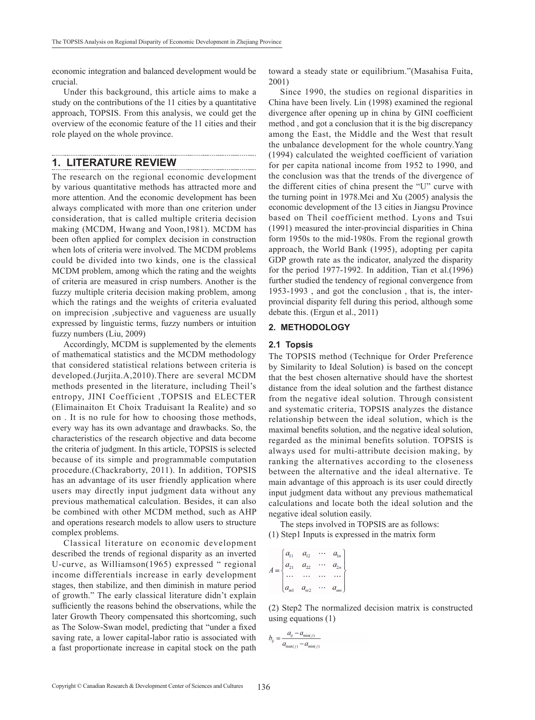economic integration and balanced development would be crucial.

Under this background, this article aims to make a study on the contributions of the 11 cities by a quantitative approach, TOPSIS. From this analysis, we could get the overview of the economic feature of the 11 cities and their role played on the whole province.

### **1. LITERATURE REVIEW**

The research on the regional economic development by various quantitative methods has attracted more and more attention. And the economic development has been always complicated with more than one criterion under consideration, that is called multiple criteria decision making (MCDM, Hwang and Yoon,1981). MCDM has been often applied for complex decision in construction when lots of criteria were involved. The MCDM problems could be divided into two kinds, one is the classical MCDM problem, among which the rating and the weights of criteria are measured in crisp numbers. Another is the fuzzy multiple criteria decision making problem, among which the ratings and the weights of criteria evaluated on imprecision ,subjective and vagueness are usually expressed by linguistic terms, fuzzy numbers or intuition fuzzy numbers (Liu, 2009)

Accordingly, MCDM is supplemented by the elements of mathematical statistics and the MCDM methodology that considered statistical relations between criteria is developed.(Jurjita.A,2010).There are several MCDM methods presented in the literature, including Theil's entropy, JINI Coefficient ,TOPSIS and ELECTER (Elimainaiton Et Choix Traduisant la Realite) and so on . It is no rule for how to choosing those methods, every way has its own advantage and drawbacks. So, the characteristics of the research objective and data become the criteria of judgment. In this article, TOPSIS is selected because of its simple and programmable computation procedure.(Chackraborty, 2011). In addition, TOPSIS has an advantage of its user friendly application where users may directly input judgment data without any previous mathematical calculation. Besides, it can also be combined with other MCDM method, such as AHP and operations research models to allow users to structure complex problems.

Classical literature on economic development described the trends of regional disparity as an inverted U-curve, as Williamson(1965) expressed " regional income differentials increase in early development stages, then stabilize, and then diminish in mature period of growth." The early classical literature didn't explain sufficiently the reasons behind the observations, while the later Growth Theory compensated this shortcoming, such as The Solow-Swan model, predicting that "under a fixed saving rate, a lower capital-labor ratio is associated with a fast proportionate increase in capital stock on the path toward a steady state or equilibrium."(Masahisa Fuita, 2001)

Since 1990, the studies on regional disparities in China have been lively. Lin (1998) examined the regional divergence after opening up in china by GINI coefficient method , and got a conclusion that it is the big discrepancy among the East, the Middle and the West that result the unbalance development for the whole country.Yang (1994) calculated the weighted coefficient of variation for per capita national income from 1952 to 1990, and the conclusion was that the trends of the divergence of the different cities of china present the "U" curve with the turning point in 1978.Mei and Xu (2005) analysis the economic development of the 13 cities in Jiangsu Province based on Theil coefficient method. Lyons and Tsui (1991) measured the inter-provincial disparities in China form 1950s to the mid-1980s. From the regional growth approach, the World Bank (1995), adopting per capita GDP growth rate as the indicator, analyzed the disparity for the period 1977-1992. In addition, Tian et al.(1996) further studied the tendency of regional convergence from 1953-1993 , and got the conclusion , that is, the interprovincial disparity fell during this period, although some debate this. (Ergun et al., 2011)

#### **2. METHODOLOGY**

### **2.1 Topsis**

The TOPSIS method (Technique for Order Preference by Similarity to Ideal Solution) is based on the concept that the best chosen alternative should have the shortest distance from the ideal solution and the farthest distance from the negative ideal solution. Through consistent and systematic criteria, TOPSIS analyzes the distance relationship between the ideal solution, which is the maximal benefits solution, and the negative ideal solution, regarded as the minimal benefits solution. TOPSIS is always used for multi-attribute decision making, by ranking the alternatives according to the closeness between the alternative and the ideal alternative. Te main advantage of this approach is its user could directly input judgment data without any previous mathematical calculations and locate both the ideal solution and the negative ideal solution easily.

The steps involved in TOPSIS are as follows: (1) Step1 Inputs is expressed in the matrix form

$$
A = \begin{cases} a_{11} & a_{12} & \cdots & a_{1n} \\ a_{21} & a_{22} & \cdots & a_{2n} \\ \cdots & \cdots & \cdots & \cdots \\ a_{m1} & a_{m2} & \cdots & a_{mn} \end{cases}
$$

(2) Step2 The normalized decision matrix is constructed using equations (1)

$$
b_{ij} = \frac{a_{ij} - a_{\min(j)}}{a_{\max(j)} - a_{\min(j)}}
$$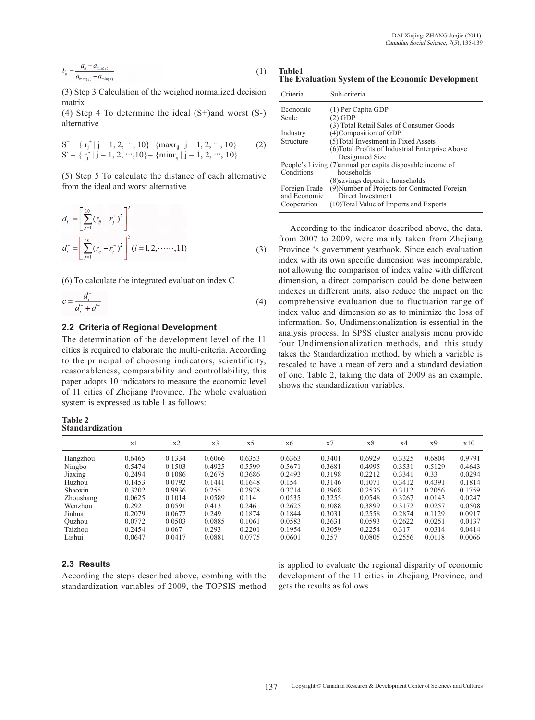$$
b_{ij} = \frac{a_{ij} - a_{\min(j)}}{a_{\max(j)} - a_{\min(j)}}\tag{1}
$$

(3) Step 3 Calculation of the weighed normalized decision matrix

(4) Step 4 To determine the ideal (S+)and worst (S-) alternative

$$
S^+ = \{ r_j^+ | j = 1, 2, \cdots, 10 \} = \{ \max r_{ij} | j = 1, 2, \cdots, 10 \}
$$
  
\n
$$
S = \{ r_j^- | j = 1, 2, \cdots, 10 \} = \{ \min r_{ij} | j = 1, 2, \cdots, 10 \}
$$
 (2)

(5) Step 5 To calculate the distance of each alternative from the ideal and worst alternative

$$
d_i^+ = \left[ \sum_{j=1}^{10} (r_{ij} - r_j^+)^2 \right]^2
$$
  

$$
d_i^- = \left[ \sum_{j=1}^{10} (r_{ij} - r_j^-)^2 \right]^2 (i = 1, 2, \dots, 11)
$$
 (3)

(6) To calculate the integrated evaluation index C

$$
c = \frac{d_i^{\dagger}}{d_i^{\dagger} + d_i^{\dagger}} \tag{4}
$$

#### **2.2 Criteria of Regional Development**

The determination of the development level of the 11 cities is required to elaborate the multi-criteria. According to the principal of choosing indicators, scientificity, reasonableness, comparability and controllability, this paper adopts 10 indicators to measure the economic level of 11 cities of Zhejiang Province. The whole evaluation system is expressed as table 1 as follows:

#### **Table 2 Standardization**

**Table1 The Evaluation System of the Economic Development**

| Criteria                      | Sub-criteria                                                       |
|-------------------------------|--------------------------------------------------------------------|
| Economic                      | $(1)$ Per Capita GDP                                               |
| Scale                         | $(2)$ GDP                                                          |
|                               | (3) Total Retail Sales of Consumer Goods                           |
| Industry                      | (4) Composition of GDP                                             |
| Structure                     | (5) Total Investment in Fixed Assets                               |
|                               | (6) Total Profits of Industrial Enterprise Above                   |
|                               | Designated Size                                                    |
|                               | People's Living (7) annual per capita disposable income of         |
| Conditions                    | households                                                         |
|                               | (8) savings deposit o households                                   |
| Foreign Trade<br>and Economic | (9) Number of Projects for Contracted Foreign<br>Direct Investment |
| Cooperation                   | (10) Total Value of Imports and Exports                            |

According to the indicator described above, the data, from 2007 to 2009, were mainly taken from Zhejiang Province 's government yearbook, Since each evaluation index with its own specific dimension was incomparable, not allowing the comparison of index value with different dimension, a direct comparison could be done between indexes in different units, also reduce the impact on the comprehensive evaluation due to fluctuation range of index value and dimension so as to minimize the loss of information. So, Undimensionalization is essential in the analysis process. In SPSS cluster analysis menu provide four Undimensionalization methods, and this study takes the Standardization method, by which a variable is rescaled to have a mean of zero and a standard deviation of one. Table 2, taking the data of 2009 as an example, shows the standardization variables.

|           | x1     | x2     | x <sub>3</sub> | x <sub>5</sub> | x6     | x7     | x8     | x4     | x9     | x10    |
|-----------|--------|--------|----------------|----------------|--------|--------|--------|--------|--------|--------|
| Hangzhou  | 0.6465 | 0.1334 | 0.6066         | 0.6353         | 0.6363 | 0.3401 | 0.6929 | 0.3325 | 0.6804 | 0.9791 |
| Ningbo    | 0.5474 | 0.1503 | 0.4925         | 0.5599         | 0.5671 | 0.3681 | 0.4995 | 0.3531 | 0.5129 | 0.4643 |
| Jiaxing   | 0.2494 | 0.1086 | 0.2675         | 0.3686         | 0.2493 | 0.3198 | 0.2212 | 0.3341 | 0.33   | 0.0294 |
| Huzhou    | 0.1453 | 0.0792 | 0.1441         | 0.1648         | 0.154  | 0.3146 | 0.1071 | 0.3412 | 0.4391 | 0.1814 |
| Shaoxin   | 0.3202 | 0.9936 | 0.255          | 0.2978         | 0.3714 | 0.3968 | 0.2536 | 0.3112 | 0.2056 | 0.1759 |
| Zhoushang | 0.0625 | 0.1014 | 0.0589         | 0.114          | 0.0535 | 0.3255 | 0.0548 | 0.3267 | 0.0143 | 0.0247 |
| Wenzhou   | 0.292  | 0.0591 | 0.413          | 0.246          | 0.2625 | 0.3088 | 0.3899 | 0.3172 | 0.0257 | 0.0508 |
| Jinhua    | 0.2079 | 0.0677 | 0.249          | 0.1874         | 0.1844 | 0.3031 | 0.2558 | 0.2874 | 0.1129 | 0.0917 |
| Ouzhou    | 0.0772 | 0.0503 | 0.0885         | 0.1061         | 0.0583 | 0.2631 | 0.0593 | 0.2622 | 0.0251 | 0.0137 |
| Taizhou   | 0.2454 | 0.067  | 0.293          | 0.2201         | 0.1954 | 0.3059 | 0.2254 | 0.317  | 0.0314 | 0.0414 |
| Lishui    | 0.0647 | 0.0417 | 0.0881         | 0.0775         | 0.0601 | 0.257  | 0.0805 | 0.2556 | 0.0118 | 0.0066 |

#### **2.3 Results**

According the steps described above, combing with the standardization variables of 2009, the TOPSIS method is applied to evaluate the regional disparity of economic development of the 11 cities in Zhejiang Province, and gets the results as follows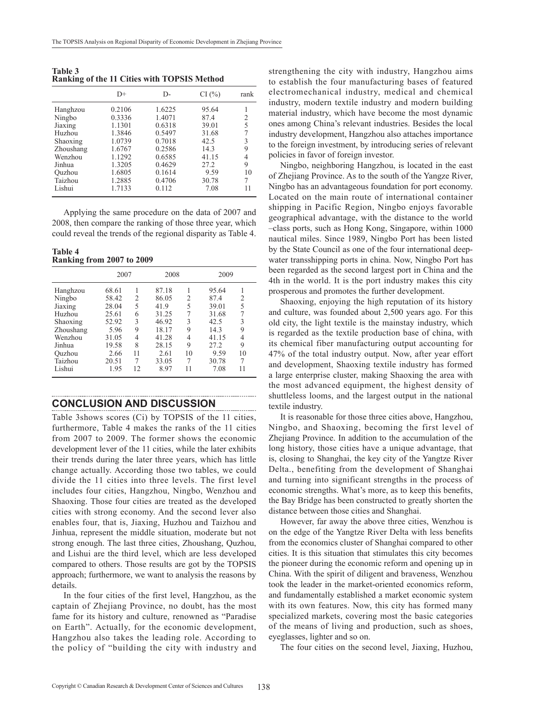**Table 3 Ranking of the 11 Cities with TOPSIS Method**

|           | $D+$   | D-     | CI(%) | rank |
|-----------|--------|--------|-------|------|
| Hanghzou  | 0.2106 | 1.6225 | 95.64 |      |
| Ningbo    | 0.3336 | 1.4071 | 87.4  | 2    |
| Jiaxing   | 1.1301 | 0.6318 | 39.01 | 5    |
| Huzhou    | 1.3846 | 0.5497 | 31.68 |      |
| Shaoxing  | 1.0739 | 0.7018 | 42.5  |      |
| Zhoushang | 1.6767 | 0.2586 | 14.3  | 9    |
| Wenzhou   | 1.1292 | 0.6585 | 41.15 |      |
| Jinhua    | 1.3205 | 0.4629 | 27.2  | 9    |
| Ouzhou    | 1.6805 | 0.1614 | 9.59  | 10   |
| Taizhou   | 1.2885 | 0.4706 | 30.78 | 7    |
| Lishui    | 1.7133 | 0.112  | 7.08  | 11   |

Applying the same procedure on the data of 2007 and 2008, then compare the ranking of those three year, which could reveal the trends of the regional disparity as Table 4.

**Table 4 Ranking from 2007 to 2009**

|           |       | 2007          |       | 2008 | 2009  |    |  |
|-----------|-------|---------------|-------|------|-------|----|--|
| Hanghzou  | 68.61 |               | 87.18 |      | 95.64 |    |  |
| Ningbo    | 58.42 | 2             | 86.05 | 2    | 87.4  | 2  |  |
| Jiaxing   | 28.04 | 5             | 41.9  | 5    | 39.01 | 5  |  |
| Huzhou    | 25.61 | 6             | 31.25 | 7    | 31.68 | 7  |  |
| Shaoxing  | 52.92 | $\mathcal{E}$ | 46.92 | 3    | 42.5  | 3  |  |
| Zhoushang | 5.96  | 9             | 18.17 | 9    | 14.3  | 9  |  |
| Wenzhou   | 31.05 | 4             | 41.28 | 4    | 41.15 | 4  |  |
| Jinhua    | 19.58 | 8             | 28.15 | 9    | 27.2  | 9  |  |
| Ouzhou    | 2.66  | 11            | 2.61  | 10   | 9.59  | 10 |  |
| Taizhou   | 20.51 | 7             | 33.05 | 7    | 30.78 | 7  |  |
| Lishui    | 1.95  | 12            | 8.97  | 11   | 7.08  | 11 |  |

### **CONCLUSION AND DISCUSSION**

Table 3shows scores (Ci) by TOPSIS of the 11 cities, furthermore, Table 4 makes the ranks of the 11 cities from 2007 to 2009. The former shows the economic development lever of the 11 cities, while the later exhibits their trends during the later three years, which has little change actually. According those two tables, we could divide the 11 cities into three levels. The first level includes four cities, Hangzhou, Ningbo, Wenzhou and Shaoxing. Those four cities are treated as the developed cities with strong economy. And the second lever also enables four, that is, Jiaxing, Huzhou and Taizhou and Jinhua, represent the middle situation, moderate but not strong enough. The last three cities, Zhoushang, Quzhou, and Lishui are the third level, which are less developed compared to others. Those results are got by the TOPSIS approach; furthermore, we want to analysis the reasons by details.

In the four cities of the first level, Hangzhou, as the captain of Zhejiang Province, no doubt, has the most fame for its history and culture, renowned as "Paradise on Earth". Actually, for the economic development, Hangzhou also takes the leading role. According to the policy of "building the city with industry and strengthening the city with industry, Hangzhou aims to establish the four manufacturing bases of featured electromechanical industry, medical and chemical industry, modern textile industry and modern building material industry, which have become the most dynamic ones among China's relevant industries. Besides the local industry development, Hangzhou also attaches importance to the foreign investment, by introducing series of relevant policies in favor of foreign investor.

Ningbo, neighboring Hangzhou, is located in the east of Zhejiang Province. As to the south of the Yangze River, Ningbo has an advantageous foundation for port economy. Located on the main route of international container shipping in Pacific Region, Ningbo enjoys favorable geographical advantage, with the distance to the world –class ports, such as Hong Kong, Singapore, within 1000 nautical miles. Since 1989, Ningbo Port has been listed by the State Council as one of the four international deepwater transshipping ports in china. Now, Ningbo Port has been regarded as the second largest port in China and the 4th in the world. It is the port industry makes this city prosperous and promotes the further development.

Shaoxing, enjoying the high reputation of its history and culture, was founded about 2,500 years ago. For this old city, the light textile is the mainstay industry, which is regarded as the textile production base of china, with its chemical fiber manufacturing output accounting for 47% of the total industry output. Now, after year effort and development, Shaoxing textile industry has formed a large enterprise cluster, making Shaoxing the area with the most advanced equipment, the highest density of shuttleless looms, and the largest output in the national textile industry.

It is reasonable for those three cities above, Hangzhou, Ningbo, and Shaoxing, becoming the first level of Zhejiang Province. In addition to the accumulation of the long history, those cities have a unique advantage, that is, closing to Shanghai, the key city of the Yangtze River Delta., benefiting from the development of Shanghai and turning into significant strengths in the process of economic strengths. What's more, as to keep this benefits, the Bay Bridge has been constructed to greatly shorten the distance between those cities and Shanghai.

However, far away the above three cities, Wenzhou is on the edge of the Yangtze River Delta with less benefits from the economics cluster of Shanghai compared to other cities. It is this situation that stimulates this city becomes the pioneer during the economic reform and opening up in China. With the spirit of diligent and braveness, Wenzhou took the leader in the market-oriented economics reform, and fundamentally established a market economic system with its own features. Now, this city has formed many specialized markets, covering most the basic categories of the means of living and production, such as shoes, eyeglasses, lighter and so on.

The four cities on the second level, Jiaxing, Huzhou,